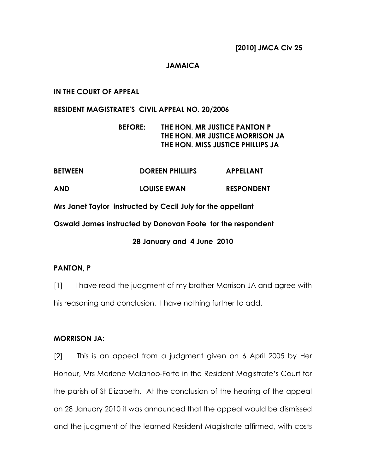### JAMAICA

### IN THE COURT OF APPEAL

#### RESIDENT MAGISTRATE'S CIVIL APPEAL NO. 20/2006

# BEFORE: THE HON. MR JUSTICE PANTON P THE HON. MR JUSTICE MORRISON JA THE HON. MISS JUSTICE PHILLIPS JA

| <b>BETWEEN</b> | <b>DOREEN PHILLIPS</b>                                      | <b>APPELLANT</b>  |
|----------------|-------------------------------------------------------------|-------------------|
| AND            | <b>LOUISE EWAN</b>                                          | <b>RESPONDENT</b> |
|                | Mrs Janet Taylor instructed by Cecil July for the appellant |                   |
|                | Oswald James instructed by Donovan Foote for the respondent |                   |
|                | 28 January and 4 June 2010                                  |                   |

## PANTON, P

[1] I have read the judgment of my brother Morrison JA and agree with his reasoning and conclusion. I have nothing further to add.

### MORRISON JA:

[2] This is an appeal from a judgment given on 6 April 2005 by Her Honour, Mrs Marlene Malahoo-Forte in the Resident Magistrate's Court for the parish of St Elizabeth. At the conclusion of the hearing of the appeal on 28 January 2010 it was announced that the appeal would be dismissed and the judgment of the learned Resident Magistrate affirmed, with costs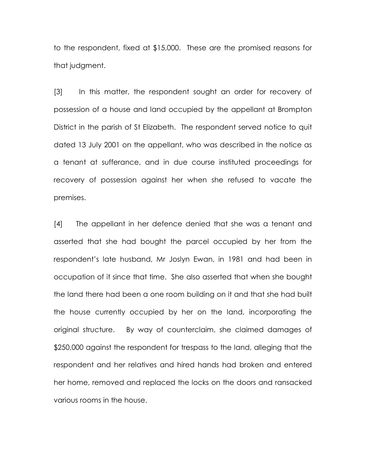to the respondent, fixed at \$15,000. These are the promised reasons for that judgment.

[3] In this matter, the respondent sought an order for recovery of possession of a house and land occupied by the appellant at Brompton District in the parish of St Elizabeth. The respondent served notice to quit dated 13 July 2001 on the appellant, who was described in the notice as a tenant at sufferance, and in due course instituted proceedings for recovery of possession against her when she refused to vacate the premises.

[4] The appellant in her defence denied that she was a tenant and asserted that she had bought the parcel occupied by her from the respondent's late husband, Mr Joslyn Ewan, in 1981 and had been in occupation of it since that time. She also asserted that when she bought the land there had been a one room building on it and that she had built the house currently occupied by her on the land, incorporating the original structure. By way of counterclaim, she claimed damages of \$250,000 against the respondent for trespass to the land, alleging that the respondent and her relatives and hired hands had broken and entered her home, removed and replaced the locks on the doors and ransacked various rooms in the house.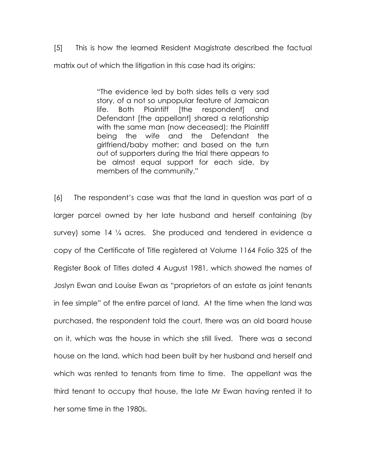[5] This is how the learned Resident Magistrate described the factual matrix out of which the litigation in this case had its origins:

> "The evidence led by both sides tells a very sad story, of a not so unpopular feature of Jamaican life. Both Plaintiff [the respondent] and Defendant [the appellant] shared a relationship with the same man (now deceased): the Plaintiff being the wife and the Defendant the girlfriend/baby mother; and based on the turn out of supporters during the trial there appears to be almost equal support for each side, by members of the community."

[6] The respondent's case was that the land in question was part of a larger parcel owned by her late husband and herself containing (by survey) some 14 ¼ acres. She produced and tendered in evidence a copy of the Certificate of Title registered at Volume 1164 Folio 325 of the Register Book of Titles dated 4 August 1981, which showed the names of Joslyn Ewan and Louise Ewan as "proprietors of an estate as joint tenants in fee simple" of the entire parcel of land. At the time when the land was purchased, the respondent told the court, there was an old board house on it, which was the house in which she still lived. There was a second house on the land, which had been built by her husband and herself and which was rented to tenants from time to time. The appellant was the third tenant to occupy that house, the late Mr Ewan having rented it to her some time in the 1980s.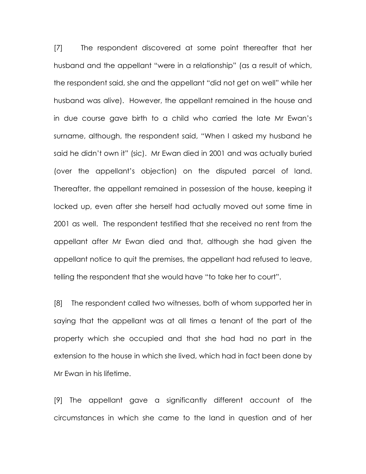[7] The respondent discovered at some point thereafter that her husband and the appellant "were in a relationship" (as a result of which, the respondent said, she and the appellant "did not get on well" while her husband was alive). However, the appellant remained in the house and in due course gave birth to a child who carried the late Mr Ewan's surname, although, the respondent said, "When I asked my husband he said he didn't own it" (sic). Mr Ewan died in 2001 and was actually buried (over the appellant's objection) on the disputed parcel of land. Thereafter, the appellant remained in possession of the house, keeping it locked up, even after she herself had actually moved out some time in 2001 as well. The respondent testified that she received no rent from the appellant after Mr Ewan died and that, although she had given the appellant notice to quit the premises, the appellant had refused to leave, telling the respondent that she would have "to take her to court".

[8] The respondent called two witnesses, both of whom supported her in saying that the appellant was at all times a tenant of the part of the property which she occupied and that she had had no part in the extension to the house in which she lived, which had in fact been done by Mr Ewan in his lifetime.

[9] The appellant gave a significantly different account of the circumstances in which she came to the land in question and of her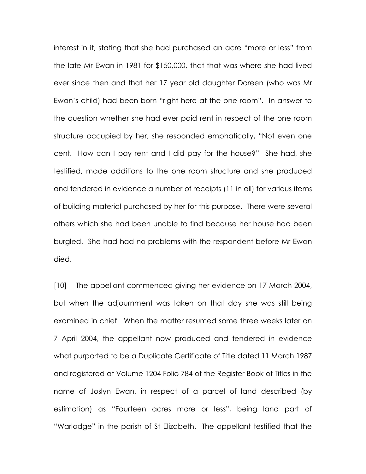interest in it, stating that she had purchased an acre "more or less" from the late Mr Ewan in 1981 for \$150,000, that that was where she had lived ever since then and that her 17 year old daughter Doreen (who was Mr Ewan's child) had been born "right here at the one room". In answer to the question whether she had ever paid rent in respect of the one room structure occupied by her, she responded emphatically, "Not even one cent. How can I pay rent and I did pay for the house?" She had, she testified, made additions to the one room structure and she produced and tendered in evidence a number of receipts (11 in all) for various items of building material purchased by her for this purpose. There were several others which she had been unable to find because her house had been burgled. She had had no problems with the respondent before Mr Ewan died.

[10] The appellant commenced giving her evidence on 17 March 2004, but when the adjournment was taken on that day she was still being examined in chief. When the matter resumed some three weeks later on 7 April 2004, the appellant now produced and tendered in evidence what purported to be a Duplicate Certificate of Title dated 11 March 1987 and registered at Volume 1204 Folio 784 of the Register Book of Titles in the name of Joslyn Ewan, in respect of a parcel of land described (by estimation) as "Fourteen acres more or less", being land part of "Warlodge" in the parish of St Elizabeth. The appellant testified that the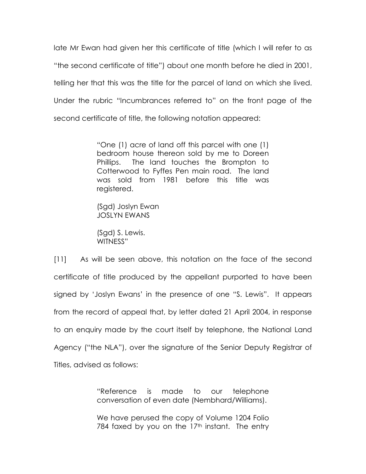late Mr Ewan had given her this certificate of title (which I will refer to as "the second certificate of title") about one month before he died in 2001, telling her that this was the title for the parcel of land on which she lived. Under the rubric "Incumbrances referred to" on the front page of the second certificate of title, the following notation appeared:

> "One (1) acre of land off this parcel with one (1) bedroom house thereon sold by me to Doreen Phillips. The land touches the Brompton to Cotterwood to Fyffes Pen main road. The land was sold from 1981 before this title was registered.

(Sgd) Joslyn Ewan JOSLYN EWANS

(Sgd) S. Lewis. WITNESS"

[11] As will be seen above, this notation on the face of the second certificate of title produced by the appellant purported to have been signed by 'Joslyn Ewans' in the presence of one "S. Lewis". It appears from the record of appeal that, by letter dated 21 April 2004, in response to an enquiry made by the court itself by telephone, the National Land Agency ("the NLA"), over the signature of the Senior Deputy Registrar of Titles, advised as follows:

> "Reference is made to our telephone conversation of even date (Nembhard/Williams).

> We have perused the copy of Volume 1204 Folio 784 faxed by you on the  $17<sup>th</sup>$  instant. The entry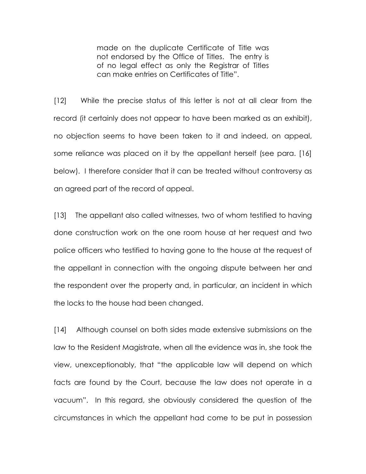made on the duplicate Certificate of Title was not endorsed by the Office of Titles. The entry is of no legal effect as only the Registrar of Titles can make entries on Certificates of Title".

[12] While the precise status of this letter is not at all clear from the record (it certainly does not appear to have been marked as an exhibit), no objection seems to have been taken to it and indeed, on appeal, some reliance was placed on it by the appellant herself (see para. [16] below). I therefore consider that it can be treated without controversy as an agreed part of the record of appeal.

[13] The appellant also called witnesses, two of whom testified to having done construction work on the one room house at her request and two police officers who testified to having gone to the house at the request of the appellant in connection with the ongoing dispute between her and the respondent over the property and, in particular, an incident in which the locks to the house had been changed.

[14] Although counsel on both sides made extensive submissions on the law to the Resident Magistrate, when all the evidence was in, she took the view, unexceptionably, that "the applicable law will depend on which facts are found by the Court, because the law does not operate in a vacuum". In this regard, she obviously considered the question of the circumstances in which the appellant had come to be put in possession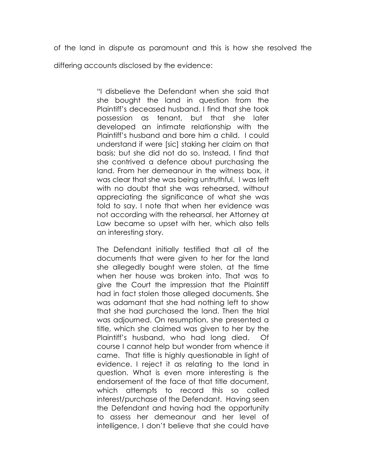of the land in dispute as paramount and this is how she resolved the

differing accounts disclosed by the evidence:

"I disbelieve the Defendant when she said that she bought the land in question from the Plaintiff's deceased husband. I find that she took possession as tenant, but that she later developed an intimate relationship with the Plaintiff's husband and bore him a child. I could understand if were [sic] staking her claim on that basis; but she did not do so. Instead, I find that she contrived a defence about purchasing the land. From her demeanour in the witness box, it was clear that she was being untruthful. I was left with no doubt that she was rehearsed, without appreciating the significance of what she was told to say. I note that when her evidence was not according with the rehearsal, her Attorney at Law became so upset with her, which also tells an interesting story.

The Defendant initially testified that all of the documents that were given to her for the land she allegedly bought were stolen, at the time when her house was broken into. That was to give the Court the impression that the Plaintiff had in fact stolen those alleged documents. She was adamant that she had nothing left to show that she had purchased the land. Then the trial was adjourned. On resumption, she presented a title, which she claimed was given to her by the Plaintiff's husband, who had long died. Of course I cannot help but wonder from whence it came. That title is highly questionable in light of evidence. I reject it as relating to the land in question. What is even more interesting is the endorsement of the face of that title document, which attempts to record this so called interest/purchase of the Defendant. Having seen the Defendant and having had the opportunity to assess her demeanour and her level of intelligence, I don't believe that she could have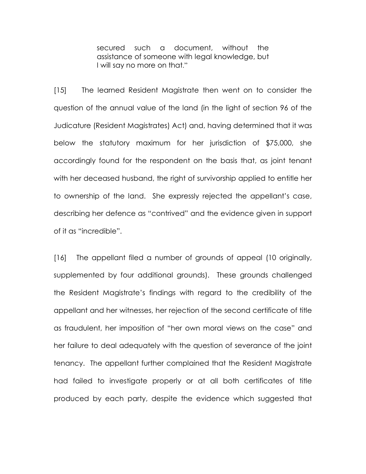secured such a document, without the assistance of someone with legal knowledge, but I will say no more on that."

[15] The learned Resident Magistrate then went on to consider the question of the annual value of the land (in the light of section 96 of the Judicature (Resident Magistrates) Act) and, having determined that it was below the statutory maximum for her jurisdiction of \$75,000, she accordingly found for the respondent on the basis that, as joint tenant with her deceased husband, the right of survivorship applied to entitle her to ownership of the land. She expressly rejected the appellant's case, describing her defence as "contrived" and the evidence given in support of it as "incredible".

[16] The appellant filed a number of grounds of appeal (10 originally, supplemented by four additional grounds). These grounds challenged the Resident Magistrate's findings with regard to the credibility of the appellant and her witnesses, her rejection of the second certificate of title as fraudulent, her imposition of "her own moral views on the case" and her failure to deal adequately with the question of severance of the joint tenancy. The appellant further complained that the Resident Magistrate had failed to investigate properly or at all both certificates of title produced by each party, despite the evidence which suggested that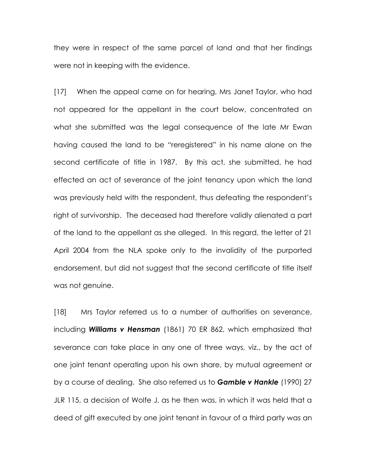they were in respect of the same parcel of land and that her findings were not in keeping with the evidence.

[17] When the appeal came on for hearing, Mrs Janet Taylor, who had not appeared for the appellant in the court below, concentrated on what she submitted was the legal consequence of the late Mr Ewan having caused the land to be "reregistered" in his name alone on the second certificate of title in 1987. By this act, she submitted, he had effected an act of severance of the joint tenancy upon which the land was previously held with the respondent, thus defeating the respondent's right of survivorship. The deceased had therefore validly alienated a part of the land to the appellant as she alleged. In this regard, the letter of 21 April 2004 from the NLA spoke only to the invalidity of the purported endorsement, but did not suggest that the second certificate of title itself was not genuine.

[18] Mrs Taylor referred us to a number of authorities on severance, including **Williams v Hensman** (1861) 70 ER 862, which emphasized that severance can take place in any one of three ways, viz., by the act of one joint tenant operating upon his own share, by mutual agreement or by a course of dealing. She also referred us to **Gamble v Hankle** (1990) 27 JLR 115, a decision of Wolfe J, as he then was, in which it was held that a deed of gift executed by one joint tenant in favour of a third party was an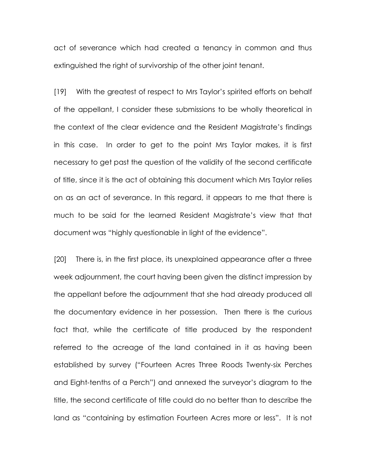act of severance which had created a tenancy in common and thus extinguished the right of survivorship of the other joint tenant.

[19] With the greatest of respect to Mrs Taylor's spirited efforts on behalf of the appellant, I consider these submissions to be wholly theoretical in the context of the clear evidence and the Resident Magistrate's findings in this case. In order to get to the point Mrs Taylor makes, it is first necessary to get past the question of the validity of the second certificate of title, since it is the act of obtaining this document which Mrs Taylor relies on as an act of severance. In this regard, it appears to me that there is much to be said for the learned Resident Magistrate's view that that document was "highly questionable in light of the evidence".

[20] There is, in the first place, its unexplained appearance after a three week adjournment, the court having been given the distinct impression by the appellant before the adjournment that she had already produced all the documentary evidence in her possession. Then there is the curious fact that, while the certificate of title produced by the respondent referred to the acreage of the land contained in it as having been established by survey ("Fourteen Acres Three Roods Twenty-six Perches and Eight-tenths of a Perch") and annexed the surveyor's diagram to the title, the second certificate of title could do no better than to describe the land as "containing by estimation Fourteen Acres more or less". It is not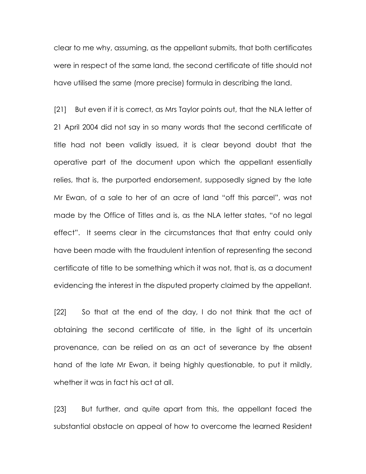clear to me why, assuming, as the appellant submits, that both certificates were in respect of the same land, the second certificate of title should not have utilised the same (more precise) formula in describing the land.

[21] But even if it is correct, as Mrs Taylor points out, that the NLA letter of 21 April 2004 did not say in so many words that the second certificate of title had not been validly issued, it is clear beyond doubt that the operative part of the document upon which the appellant essentially relies, that is, the purported endorsement, supposedly signed by the late Mr Ewan, of a sale to her of an acre of land "off this parcel", was not made by the Office of Titles and is, as the NLA letter states, "of no legal effect". It seems clear in the circumstances that that entry could only have been made with the fraudulent intention of representing the second certificate of title to be something which it was not, that is, as a document evidencing the interest in the disputed property claimed by the appellant.

[22] So that at the end of the day, I do not think that the act of obtaining the second certificate of title, in the light of its uncertain provenance, can be relied on as an act of severance by the absent hand of the late Mr Ewan, it being highly questionable, to put it mildly, whether it was in fact his act at all.

[23] But further, and quite apart from this, the appellant faced the substantial obstacle on appeal of how to overcome the learned Resident